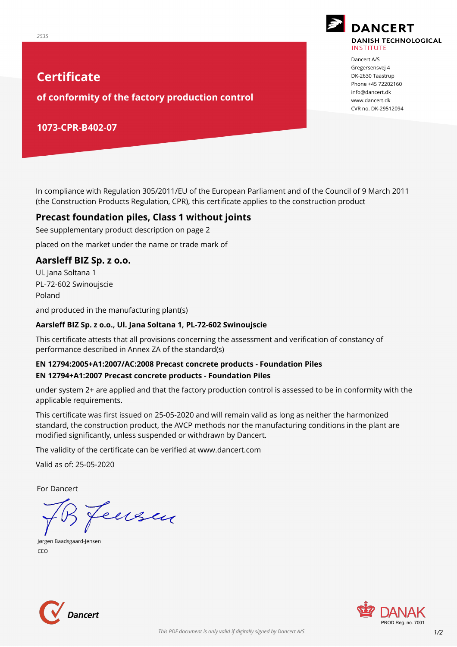# **Certificate**

**of conformity of the factory production control**

### **1073-CPR-B402-07**

In compliance with Regulation 305/2011/EU of the European Parliament and of the Council of 9 March 2011 (the Construction Products Regulation, CPR), this certificate applies to the construction product

#### **Precast foundation piles, Class 1 without joints**

See supplementary product description on page 2

placed on the market under the name or trade mark of

#### **Aarsleff BIZ Sp. z o.o.**

Ul. Jana Soltana 1 PL-72-602 Swinoujscie Poland

and produced in the manufacturing plant(s)

#### **Aarsleff BIZ Sp. z o.o., Ul. Jana Soltana 1, PL-72-602 Swinoujscie**

This certificate attests that all provisions concerning the assessment and verification of constancy of performance described in Annex ZA of the standard(s)

#### **EN 12794:2005+A1:2007/AC:2008 Precast concrete products - Foundation Piles EN 12794+A1:2007 Precast concrete products - Foundation Piles**

under system 2+ are applied and that the factory production control is assessed to be in conformity with the applicable requirements.

This certificate was first issued on 25-05-2020 and will remain valid as long as neither the harmonized standard, the construction product, the AVCP methods nor the manufacturing conditions in the plant are modified significantly, unless suspended or withdrawn by Dancert.

The validity of the certificate can be verified at www.dancert.com

Valid as of: 25-05-2020

For Dancert

Jeusen

CEO Jørgen Baadsgaard-Jensen







Dancert A/S Gregersensvej 4 DK-2630 Taastrup Phone +45 72202160 info@dancert.dk www.dancert.dk CVR no. DK-29512094